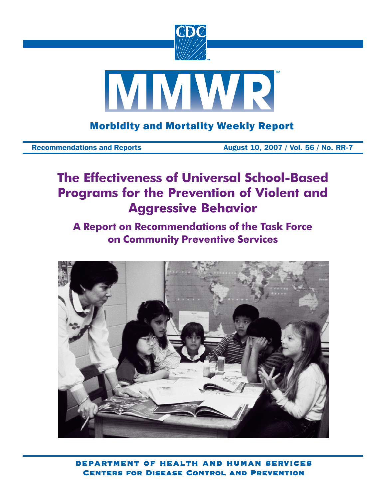

Morbidity and Mortality Weekly Report

Recommendations and Reports August 10, 2007 / Vol. 56 / No. RR-7

# **The Effectiveness of Universal School-Based Programs for the Prevention of Violent and Aggressive Behavior**

**A Report on Recommendations of the Task Force on Community Preventive Services**



department of health and human services Centers for Disease Control and Prevention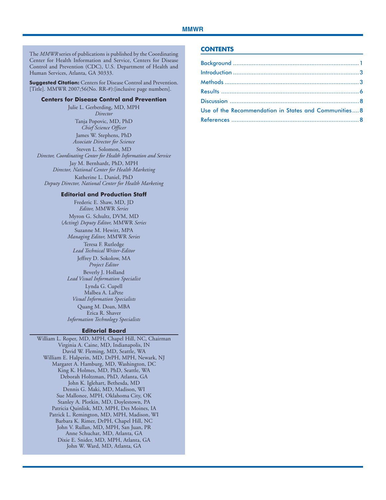The *MMWR* series of publications is published by the Coordinating Center for Health Information and Service, Centers for Disease Control and Prevention (CDC), U.S. Department of Health and Human Services, Atlanta, GA 30333.

**Suggested Citation:** Centers for Disease Control and Prevention. [Title]. MMWR 2007;56(No. RR-#):[inclusive page numbers].

#### **Centers for Disease Control and Prevention**

Julie L. Gerberding, MD, MPH *Director* Tanja Popovic, MD, PhD *Chief Science Officer* James W. Stephens, PhD *Associate Director for Science* Steven L. Solomon, MD *Director, Coordinating Center for Health Information and Service* Jay M. Bernhardt, PhD, MPH *Director, National Center for Health Marketing* Katherine L. Daniel, PhD *Deputy Director, National Center for Health Marketing*

#### **Editorial and Production Staff**

Frederic E. Shaw, MD, JD *Editor,* MMWR *Series* Myron G. Schultz, DVM, MD (*Acting*) *Deputy Editor,* MMWR *Series* Suzanne M. Hewitt, MPA *Managing Editor,* MMWR *Series* Teresa F. Rutledge

*Lead Technical Writer-Editor* Jeffrey D. Sokolow, MA

*Project Editor* Beverly J. Holland *Lead Visual Information Specialist*

Lynda G. Cupell Malbea A. LaPete *Visual Information Specialists*

Quang M. Doan, MBA Erica R. Shaver *Information Technology Specialists*

#### **Editorial Board**

William L. Roper, MD, MPH, Chapel Hill, NC, Chairman Virginia A. Caine, MD, Indianapolis, IN David W. Fleming, MD, Seattle, WA William E. Halperin, MD, DrPH, MPH, Newark, NJ Margaret A. Hamburg, MD, Washington, DC King K. Holmes, MD, PhD, Seattle, WA Deborah Holtzman, PhD, Atlanta, GA John K. Iglehart, Bethesda, MD Dennis G. Maki, MD, Madison, WI Sue Mallonee, MPH, Oklahoma City, OK Stanley A. Plotkin, MD, Doylestown, PA Patricia Quinlisk, MD, MPH, Des Moines, IA Patrick L. Remington, MD, MPH, Madison, WI Barbara K. Rimer, DrPH, Chapel Hill, NC John V. Rullan, MD, MPH, San Juan, PR Anne Schuchat, MD, Atlanta, GA Dixie E. Snider, MD, MPH, Atlanta, GA John W. Ward, MD, Atlanta, GA

### **CONTENTS**

| Use of the Recommendation in States and Communities 8 |  |
|-------------------------------------------------------|--|
|                                                       |  |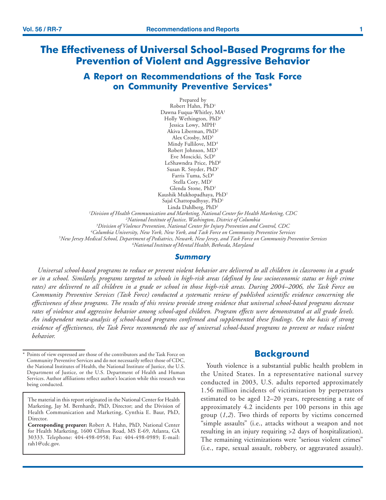# <span id="page-2-0"></span>**The Effectiveness of Universal School-Based Programs for the Prevention of Violent and Aggressive Behavior**

## **A Report on Recommendations of the Task Force on Community Preventive Services\***

Prepared by

Robert Hahn, PhD1 Dawna Fuqua-Whitley, MA<sup>1</sup> Holly Wethington, PhD1 Jessica Lowy, MPH1 Akiva Liberman, PhD2 Alex Crosby,  $MD^3$ Mindy Fullilove, MD4 Robert Johnson, MD<sup>5</sup> Eve Moscicki, ScD<sup>6</sup> LeShawndra Price, PhD6 Susan R. Snyder, PhD1 Farris Tuma, ScD<sup>6</sup> Stella Cory, MD1 Glenda Stone, PhD1 Kaushik Mukhopadhaya, PhD1 Sajal Chattopadhyay, PhD<sup>1</sup> Linda Dahlberg, PhD2 *1 Division of Health Communication and Marketing, National Center for Health Marketing, CDC 2 National Institute of Justice, Washington, District of Columbia 3 Division of Violence Prevention, National Center for Injury Prevention and Control, CDC 4 Columbia University, New York, New York, and Task Force on Community Preventive Services 5 New Jersey Medical School, Department of Pediatrics, Newark, New Jersey, and Task Force on Community Preventive Services 6 National Institute of Mental Health, Bethesda, Maryland*

#### *Summary*

*Universal school-based programs to reduce or prevent violent behavior are delivered to all children in classrooms in a grade or in a school. Similarly, programs targeted to schools in high-risk areas (defined by low socioeconomic status or high crime rates) are delivered to all children in a grade or school in those high-risk areas. During 2004–2006, the Task Force on Community Preventive Services (Task Force) conducted a systematic review of published scientific evidence concerning the effectiveness of these programs. The results of this review provide strong evidence that universal school-based programs decrease rates of violence and aggressive behavior among school-aged children. Program effects were demonstrated at all grade levels. An independent meta-analysis of school-based programs confirmed and supplemented these findings. On the basis of strong evidence of effectiveness, the Task Force recommends the use of universal school-based programs to prevent or reduce violent behavior.*

### **Background**

Youth violence is a substantial public health problem in the United States. In a representative national survey conducted in 2003, U.S. adults reported approximately 1.56 million incidents of victimization by perpetrators estimated to be aged 12–20 years, representing a rate of approximately 4.2 incidents per 100 persons in this age group (*1,2*). Two thirds of reports by victims concerned "simple assaults" (i.e., attacks without a weapon and not resulting in an injury requiring >2 days of hospitalization). The remaining victimizations were "serious violent crimes" (i.e., rape, sexual assault, robbery, or aggravated assault).

<sup>\*</sup> Points of view expressed are those of the contributors and the Task Force on Community Preventive Services and do not necessarily reflect those of CDC, the National Institutes of Health, the National Institute of Justice, the U.S. Department of Justice, or the U.S. Department of Health and Human Services. Author affiliations reflect author's location while this research was being conducted.

The material in this report originated in the National Center for Health Marketing, Jay M. Bernhardt, PhD, Director; and the Division of Health Communication and Marketing, Cynthia E. Baur, PhD, Director.

**Corresponding preparer:** Robert A. Hahn, PhD, National Center for Health Marketing, 1600 Clifton Road, MS E-69, Atlanta, GA 30333. Telephone: 404-498-0958; Fax: 404-498-0989; E-mail: rah1@cdc.gov.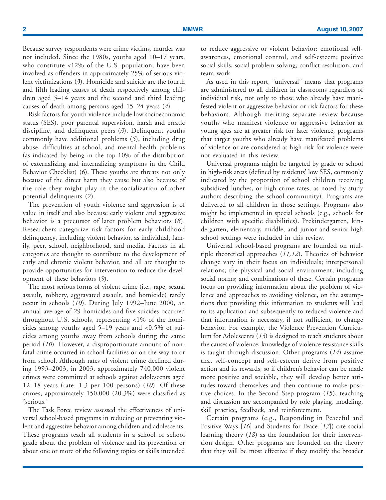Because survey respondents were crime victims, murder was not included. Since the 1980s, youths aged 10–17 years, who constitute <12% of the U.S. population, have been involved as offenders in approximately 25% of serious violent victimizations (*3*). Homicide and suicide are the fourth and fifth leading causes of death respectively among children aged 5–14 years and the second and third leading causes of death among persons aged 15–24 years (*4*).

Risk factors for youth violence include low socioeconomic status (SES), poor parental supervision, harsh and erratic discipline, and delinquent peers (*3*). Delinquent youths commonly have additional problems (*5*), including drug abuse, difficulties at school, and mental health problems (as indicated by being in the top 10% of the distribution of externalizing and internalizing symptoms in the Child Behavior Checklist) (*6*). These youths are threats not only because of the direct harm they cause but also because of the role they might play in the socialization of other potential delinquents (*7*).

The prevention of youth violence and aggression is of value in itself and also because early violent and aggressive behavior is a precursor of later problem behaviors (*8*). Researchers categorize risk factors for early childhood delinquency, including violent behavior, as individual, family, peer, school, neighborhood, and media. Factors in all categories are thought to contribute to the development of early and chronic violent behavior, and all are thought to provide opportunities for intervention to reduce the development of these behaviors (*9*).

The most serious forms of violent crime (i.e., rape, sexual assault, robbery, aggravated assault, and homicide) rarely occur in schools (*10*). During July 1992–June 2000, an annual average of 29 homicides and five suicides occurred throughout U.S. schools, representing <1% of the homicides among youths aged 5–19 years and <0.5% of suicides among youths away from schools during the same period (*10*). However, a disproportionate amount of nonfatal crime occurred in school facilities or on the way to or from school. Although rates of violent crime declined during 1993–2003, in 2003, approximately 740,000 violent crimes were committed at schools against adolescents aged 12–18 years (rate: 1.3 per 100 persons) (*10*). Of these crimes, approximately 150,000 (20.3%) were classified as "serious."

The Task Force review assessed the effectiveness of universal school-based programs in reducing or preventing violent and aggressive behavior among children and adolescents. These programs teach all students in a school or school grade about the problem of violence and its prevention or about one or more of the following topics or skills intended to reduce aggressive or violent behavior: emotional selfawareness, emotional control, and self-esteem; positive social skills; social problem solving; conflict resolution; and team work.

As used in this report, "universal" means that programs are administered to all children in classrooms regardless of individual risk, not only to those who already have manifested violent or aggressive behavior or risk factors for these behaviors. Although meriting separate review because youths who manifest violence or aggressive behavior at young ages are at greater risk for later violence, programs that target youths who already have manifested problems of violence or are considered at high risk for violence were not evaluated in this review.

Universal programs might be targeted by grade or school in high-risk areas (defined by residents' low SES, commonly indicated by the proportion of school children receiving subsidized lunches, or high crime rates, as noted by study authors describing the school community). Programs are delivered to all children in those settings. Programs also might be implemented in special schools (e.g., schools for children with specific disabilities). Prekindergarten, kindergarten, elementary, middle, and junior and senior high school settings were included in this review.

Universal school-based programs are founded on multiple theoretical approaches (*11,12*). Theories of behavior change vary in their focus on individuals; interpersonal relations; the physical and social environment, including social norms; and combinations of these. Certain programs focus on providing information about the problem of violence and approaches to avoiding violence, on the assumptions that providing this information to students will lead to its application and subsequently to reduced violence and that information is necessary, if not sufficient, to change behavior. For example, the Violence Prevention Curriculum for Adolescents (*13*) is designed to teach students about the causes of violence; knowledge of violence resistance skills is taught through discussion. Other programs (*14*) assume that self-concept and self-esteem derive from positive action and its rewards, so if children's behavior can be made more positive and sociable, they will develop better attitudes toward themselves and then continue to make positive choices. In the Second Step program (*15*), teaching and discussion are accompanied by role playing, modeling, skill practice, feedback, and reinforcement.

Certain programs (e.g., Responding in Peaceful and Positive Ways [*16*] and Students for Peace [*17*]) cite social learning theory (*18*) as the foundation for their intervention design. Other programs are founded on the theory that they will be most effective if they modify the broader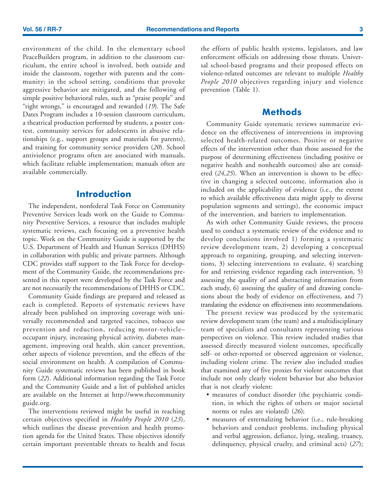<span id="page-4-0"></span>environment of the child. In the elementary school PeaceBuilders program, in addition to the classroom curriculum, the entire school is involved, both outside and inside the classroom, together with parents and the community; in the school setting, conditions that provoke aggressive behavior are mitigated, and the following of simple positive behavioral rules, such as "praise people" and "right wrongs," is encouraged and rewarded (*19*). The Safe Dates Program includes a 10-session classroom curriculum, a theatrical production performed by students, a poster contest, community services for adolescents in abusive relationships (e.g., support groups and materials for parents), and training for community service providers (*20*). School antiviolence programs often are associated with manuals, which facilitate reliable implementation; manuals often are available commercially.

### **Introduction**

The independent, nonfederal Task Force on Community Preventive Services leads work on the Guide to Community Preventive Services, a resource that includes multiple systematic reviews, each focusing on a preventive health topic. Work on the Community Guide is supported by the U.S. Department of Health and Human Services (DHHS) in collaboration with public and private partners. Although CDC provides staff support to the Task Force for development of the Community Guide, the recommendations presented in this report were developed by the Task Force and are not necessarily the recommendations of DHHS or CDC.

Community Guide findings are prepared and released as each is completed. Reports of systematic reviews have already been published on improving coverage with universally recommended and targeted vaccines, tobacco use prevention and reduction, reducing motor-vehicle– occupant injury, increasing physical activity, diabetes management, improving oral health, skin cancer prevention, other aspects of violence prevention, and the effects of the social environment on health. A compilation of Community Guide systematic reviews has been published in book form (*22*). Additional information regarding the Task Force and the Community Guide and a list of published articles are available on the Internet at [http://www.thecommunity](http://www.thecommunityguide.org) [guide.org.](http://www.thecommunityguide.org)

The interventions reviewed might be useful in reaching certain objectives specified in *Healthy People 2010* (*23*), which outlines the disease prevention and health promotion agenda for the United States. These objectives identify certain important preventable threats to health and focus the efforts of public health systems, legislators, and law enforcement officials on addressing those threats. Universal school-based programs and their proposed effects on violence-related outcomes are relevant to multiple *Healthy People 2010* objectives regarding injury and violence prevention (Table 1).

### **Methods**

Community Guide systematic reviews summarize evidence on the effectiveness of interventions in improving selected health-related outcomes. Positive or negative effects of the intervention other than those assessed for the purpose of determining effectiveness (including positive or negative health and nonhealth outcomes) also are considered (*24,25*). When an intervention is shown to be effective in changing a selected outcome, information also is included on the applicability of evidence (i.e., the extent to which available effectiveness data might apply to diverse population segments and settings), the economic impact of the intervention, and barriers to implementation.

As with other Community Guide reviews, the process used to conduct a systematic review of the evidence and to develop conclusions involved 1) forming a systematic review development team, 2) developing a conceptual approach to organizing, grouping, and selecting interventions, 3) selecting interventions to evaluate, 4) searching for and retrieving evidence regarding each intervention, 5) assessing the quality of and abstracting information from each study, 6) assessing the quality of and drawing conclusions about the body of evidence on effectiveness, and 7) translating the evidence on effectiveness into recommendations.

The present review was produced by the systematic review development team (the team) and a multidisciplinary team of specialists and consultants representing various perspectives on violence. This review included studies that assessed directly measured violent outcomes, specifically self- or other-reported or observed aggression or violence, including violent crime. The review also included studies that examined any of five proxies for violent outcomes that include not only clearly violent behavior but also behavior that is not clearly violent:

- measures of conduct disorder (the psychiatric condition, in which the rights of others or major societal norms or rules are violated) (*26*);
- measures of externalizing behavior (i.e., rule-breaking behaviors and conduct problems, including physical and verbal aggression, defiance, lying, stealing, truancy, delinquency, physical cruelty, and criminal acts) (*27*);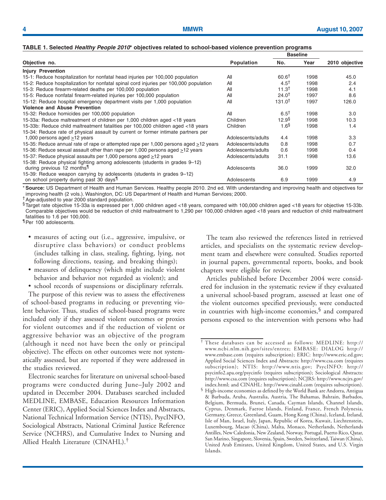#### **TABLE 1. Selected Healthy People 2010\* objectives related to school-based violence prevention programs**

|                                                                                       |                    | <b>Baseline</b>    |      |                |
|---------------------------------------------------------------------------------------|--------------------|--------------------|------|----------------|
| Objective no.                                                                         | Population         | No.                | Year | 2010 objective |
| <b>Injury Prevention</b>                                                              |                    |                    |      |                |
| 15-1: Reduce hospitalization for nonfatal head injuries per 100,000 population        | All                | 60.6 <sup>†</sup>  | 1998 | 45.0           |
| 15-2: Reduce hospitalization for nonfatal spinal cord injuries per 100,000 population | All                | $4.5^{\dagger}$    | 1998 | 2.4            |
| 15-3: Reduce firearm-related deaths per 100,000 population                            | All                | 11.3 <sup>†</sup>  | 1998 | 4.1            |
| 15-5: Reduce nonfatal firearm-related injuries per 100,000 population                 | All                | 24.0 <sup>†</sup>  | 1997 | 8.6            |
| 15-12: Reduce hospital emergency department visits per 1,000 population               | All                | 131.0 <sup>†</sup> | 1997 | 126.0          |
| Violence and Abuse Prevention                                                         |                    |                    |      |                |
| 15-32: Reduce homicides per 100,000 population                                        | All                | $6.5^{\dagger}$    | 1998 | 3.0            |
| 15-33a: Reduce maltreatment of children per 1,000 children aged <18 years             | Children           | 12.9 <sup>§</sup>  | 1998 | 10.3           |
| 15-33b: Reduce child maltreatment fatalities per 100,000 children aged <18 years      | Children           | 1.6 <sup>§</sup>   | 1998 | 1.4            |
| 15-34: Reduce rate of physical assault by current or former intimate partners per     |                    |                    |      |                |
| 1,000 persons aged $\geq$ 12 years                                                    | Adolescents/adults | 4.4                | 1998 | 3.3            |
| 15-35: Reduce annual rate of rape or attempted rape per 1,000 persons aged ≥12 years  | Adolescents/adults | 0.8                | 1998 | 0.7            |
| 15-36: Reduce sexual assault other than rape per 1,000 persons aged $\geq$ 12 years   | Adolescents/adults | 0.6                | 1998 | 0.4            |
| 15-37: Reduce physical assaults per 1,000 persons aged >12 years                      | Adolescents/adults | 31.1               | 1998 | 13.6           |
| 15-38: Reduce physical fighting among adolescents (students in grades 9-12)           |                    |                    |      |                |
| during previous 12 months <sup>1</sup>                                                | Adolescents        | 36.0               | 1999 | 32.0           |
| 15-39: Reduce weapon carrying by adolescents (students in grades 9–12)                |                    |                    |      |                |
| on school property during past 30 days <sup>1</sup>                                   | Adolescents        | 6.9                | 1999 | 4.9            |

\* **Source:** US Department of Health and Human Services. Healthy people 2010. 2nd ed. With understanding and improving health and objectives for improving health (2 vols.). Washington, DC: US Department of Health and Human Services; 2000.

†Age-adjusted to year 2000 standard population.

§Target rate objective 15-33a is expressed per 1,000 children aged <18 years, compared with 100,000 children aged <18 years for objective 15-33b. Comparable objectives would be reduction of child maltreatment to 1,290 per 100,000 children aged <18 years and reduction of child maltreatment fatalities to 1.6 per 100,000.

¶Per 100 adolescents.

- measures of acting out (i.e., aggressive, impulsive, or disruptive class behaviors) or conduct problems (includes talking in class, stealing, fighting, lying, not following directions, teasing, and breaking things);
- measures of delinquency (which might include violent behavior and behavior not regarded as violent); and
- school records of suspensions or disciplinary referrals.

The purpose of this review was to assess the effectiveness of school-based programs in reducing or preventing violent behavior. Thus, studies of school-based programs were included only if they assessed violent outcomes or proxies for violent outcomes and if the reduction of violent or aggressive behavior was an objective of the program (although it need not have been the only or principal objective). The effects on other outcomes were not systematically assessed, but are reported if they were addressed in the studies reviewed.

Electronic searches for literature on universal school-based programs were conducted during June–July 2002 and updated in December 2004. Databases searched included MEDLINE, EMBASE, Education Resources Information Center (ERIC), Applied Social Sciences Index and Abstracts, National Technical Information Service (NTIS), PsycINFO, Sociological Abstracts, National Criminal Justice Reference Service (NCHRS), and Cumulative Index to Nursing and Allied Health Literature (CINAHL).†

The team also reviewed the references listed in retrieved articles, and specialists on the systematic review development team and elsewhere were consulted. Studies reported in journal papers, governmental reports, books, and book chapters were eligible for review.

Articles published before December 2004 were considered for inclusion in the systematic review if they evaluated a universal school-based program, assessed at least one of the violent outcomes specified previously, were conducted in countries with high-income economies, and compared persons exposed to the intervention with persons who had

<sup>†</sup> These databases can be accessed as follows: MEDLINE: [http://](http://www.ncbi.nlm.nih.gov/sites/entrez) [www.ncbi.nlm.nih.gov/sites/entrez;](http://www.ncbi.nlm.nih.gov/sites/entrez) EMBASE: DIALOG [http://](http://www.embase.com) [www.embase.com](http://www.embase.com) (requires subscription); ERIC: [http://www.eric.ed.gov;](http://www.eric.ed.gov) Applied Social Sciences Index and Abstracts: [http://www.csa.com \(r](http://www.csa.com)equires subscription); NTIS: [http://www.ntis.gov;](http://www.ntis.gov) PsycINFO: [http://](http:///psycinfo2.apa.org/psycinfo) [psycinfo2.apa.org/psycinfo](http:///psycinfo2.apa.org/psycinfo) (requires subscription); Sociological Abstracts: <http://www.csa.com>(requires subscription); NCJRS[: http://www.ncjrs.gov/](http://www.ncjrs.gov/index.html)

 $\,$  High-income economies as defined by the World Bank are Andorra, Antigua & Barbuda, Aruba, Australia, Austria, The Bahamas, Bahrain, Barbados, Belgium, Bermuda, Brunei, Canada, Cayman Islands, Channel Islands, Cyprus, Denmark, Faeroe Islands, Finland, France, French Polynesia, Germany, Greece, Greenland, Guam, Hong Kong (China), Iceland, Ireland, Isle of Man, Israel, Italy, Japan, Republic of Korea, Kuwait, Liechtenstein, Luxembourg, Macao (China), Malta, Monaco, Netherlands, Netherlands Antilles, New Caledonia, New Zealand, Norway, Portugal, Puerto Rico, Qatar, San Marino, Singapore, Slovenia, Spain, Sweden, Switzerland, Taiwan (China), United Arab Emirates, United Kingdom, United States, and U.S. Virgin Islands.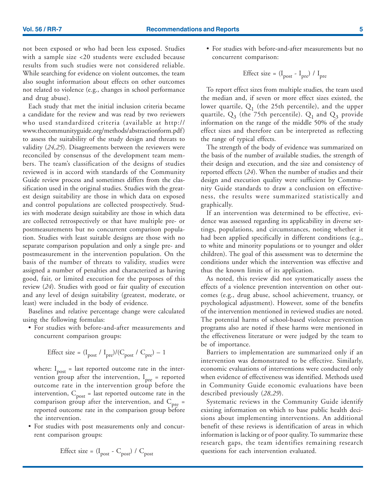not been exposed or who had been less exposed. Studies with a sample size <20 students were excluded because results from such studies were not considered reliable. While searching for evidence on violent outcomes, the team also sought information about effects on other outcomes not related to violence (e.g., changes in school performance and drug abuse).

Each study that met the initial inclusion criteria became a candidate for the review and was read by two reviewers who used standardized criteria (available at [http://](http://www.thecommunityguide.org/methods/abstractionform.pdf) [www.thecommunityguide.org/methods/abstractionform.pdf\)](http://www.thecommunityguide.org/methods/abstractionform.pdf) to assess the suitability of the study design and threats to validity (*24,25*). Disagreements between the reviewers were reconciled by consensus of the development team members. The team's classification of the designs of studies reviewed is in accord with standards of the Community Guide review process and sometimes differs from the classification used in the original studies. Studies with the greatest design suitability are those in which data on exposed and control populations are collected prospectively. Studies with moderate design suitability are those in which data are collected retrospectively or that have multiple pre- or postmeasurements but no concurrent comparison population. Studies with least suitable designs are those with no separate comparison population and only a single pre- and postmeasurement in the intervention population. On the basis of the number of threats to validity, studies were assigned a number of penalties and characterized as having good, fair, or limited execution for the purposes of this review (*24*). Studies with good or fair quality of execution and any level of design suitability (greatest, moderate, or least) were included in the body of evidence.

Baselines and relative percentage change were calculated using the following formulas:

• For studies with before-and-after measurements and concurrent comparison groups:

Effect size = 
$$
(I_{\text{post}} / I_{\text{pre}})/(C_{\text{post}} / C_{\text{pre}}) - 1
$$

where:  $I_{\text{post}}$  = last reported outcome rate in the intervention group after the intervention,  $I_{pre}$  = reported outcome rate in the intervention group before the intervention,  $C_{\text{post}}$  = last reported outcome rate in the comparison group after the intervention, and  $C_{pre}$  = reported outcome rate in the comparison group before the intervention.

• For studies with post measurements only and concurrent comparison groups:

Effect size = 
$$
(I_{post} - C_{post}) / C_{post}
$$

• For studies with before-and-after measurements but no concurrent comparison:

Effect size = 
$$
(I_{post} - I_{pre}) / I_{pre}
$$

To report effect sizes from multiple studies, the team used the median and, if seven or more effect sizes existed, the lower quartile,  $Q_1$  (the 25th percentile), and the upper quartile,  $Q_3$  (the 75th percentile).  $Q_1$  and  $Q_3$  provide information on the range of the middle 50% of the study effect sizes and therefore can be interpreted as reflecting the range of typical effects.

The strength of the body of evidence was summarized on the basis of the number of available studies, the strength of their design and execution, and the size and consistency of reported effects (*24*). When the number of studies and their design and execution quality were sufficient by Community Guide standards to draw a conclusion on effectiveness, the results were summarized statistically and graphically.

If an intervention was determined to be effective, evidence was assessed regarding its applicability in diverse settings, populations, and circumstances, noting whether it had been applied specifically in different conditions (e.g., to white and minority populations or to younger and older children). The goal of this assessment was to determine the conditions under which the intervention was effective and thus the known limits of its application.

As noted, this review did not systematically assess the effects of a violence prevention intervention on other outcomes (e.g., drug abuse, school achievement, truancy, or psychological adjustment). However, some of the benefits of the intervention mentioned in reviewed studies are noted. The potential harms of school-based violence prevention programs also are noted if these harms were mentioned in the effectiveness literature or were judged by the team to be of importance.

Barriers to implementation are summarized only if an intervention was demonstrated to be effective. Similarly, economic evaluations of interventions were conducted only when evidence of effectiveness was identified. Methods used in Community Guide economic evaluations have been described previously (*28,29*).

Systematic reviews in the Community Guide identify existing information on which to base public health decisions about implementing interventions. An additional benefit of these reviews is identification of areas in which information is lacking or of poor quality. To summarize these research gaps, the team identifies remaining research questions for each intervention evaluated.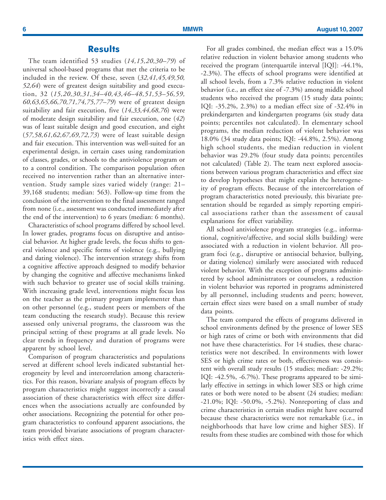### **Results**

<span id="page-7-0"></span>The team identified 53 studies (*14,15,20,30–79*) of universal school-based programs that met the criteria to be included in the review. Of these, seven (*32,41,45,49,50, 52,64*) were of greatest design suitability and good execution, 32 (*15,20,30,31,34–40,43,46–48,51,53–56,59, 60,63,65,66,70,71,74,75,77–79*) were of greatest design suitability and fair execution, five (*14,33,44,68,76*) were of moderate design suitability and fair execution, one (*42*) was of least suitable design and good execution, and eight (*57,58,61,62,67,69,72,73*) were of least suitable design and fair execution. This intervention was well-suited for an experimental design, in certain cases using randomization of classes, grades, or schools to the antiviolence program or to a control condition. The comparison population often received no intervention rather than an alternative intervention. Study sample sizes varied widely (range: 21– 39,168 students; median: 563). Follow-up time from the conclusion of the intervention to the final assessment ranged from none (i.e., assessment was conducted immediately after the end of the intervention) to 6 years (median: 6 months).

Characteristics of school programs differed by school level. In lower grades, programs focus on disruptive and antisocial behavior. At higher grade levels, the focus shifts to general violence and specific forms of violence (e.g., bullying and dating violence). The intervention strategy shifts from a cognitive affective approach designed to modify behavior by changing the cognitive and affective mechanisms linked with such behavior to greater use of social skills training. With increasing grade level, interventions might focus less on the teacher as the primary program implementer than on other personnel (e.g., student peers or members of the team conducting the research study). Because this review assessed only universal programs, the classroom was the principal setting of these programs at all grade levels. No clear trends in frequency and duration of programs were apparent by school level.

Comparison of program characteristics and populations served at different school levels indicated substantial heterogeneity by level and intercorrelation among characteristics. For this reason, bivariate analysis of program effects by program characteristics might suggest incorrectly a causal association of these characteristics with effect size differences when the associations actually are confounded by other associations. Recognizing the potential for other program characteristics to confound apparent associations, the team provided bivariate associations of program characteristics with effect sizes.

For all grades combined, the median effect was a 15.0% relative reduction in violent behavior among students who received the program (interquartile interval [IQI]: -44.1%, -2.3%). The effects of school programs were identified at all school levels, from a 7.3% relative reduction in violent behavior (i.e., an effect size of -7.3%) among middle school students who received the program (15 study data points; IQI: -35.2%, 2.3%) to a median effect size of -32.4% in prekindergarten and kindergarten programs (six study data points; percentiles not calculated). In elementary school programs, the median reduction of violent behavior was 18.0% (34 study data points; IQI: -44.8%, 2.5%). Among high school students, the median reduction in violent behavior was 29.2% (four study data points; percentiles not calculated) (Table 2). The team next explored associations between various program characteristics and effect size to develop hypotheses that might explain the heterogeneity of program effects. Because of the intercorrelation of program characteristics noted previously, this bivariate presentation should be regarded as simply reporting empirical associations rather than the assessment of causal explanations for effect variability.

All school antiviolence program strategies (e.g., informational, cognitive/affective, and social skills building) were associated with a reduction in violent behavior. All program foci (e.g., disruptive or antisocial behavior, bullying, or dating violence) similarly were associated with reduced violent behavior. With the exception of programs administered by school administrators or counselors, a reduction in violent behavior was reported in programs administered by all personnel, including students and peers; however, certain effect sizes were based on a small number of study data points.

The team compared the effects of programs delivered in school environments defined by the presence of lower SES or high rates of crime or both with environments that did not have these characteristics. For 14 studies, these characteristics were not described. In environments with lower SES or high crime rates or both, effectiveness was consistent with overall study results (15 studies; median: -29.2%; IQI: -42.5%, -6.7%). These programs appeared to be similarly effective in settings in which lower SES or high crime rates or both were noted to be absent (24 studies; median: -21.0%; IQI: -50.0%, -5.2%). Nonreporting of class and crime characteristics in certain studies might have occurred because these characteristics were not remarkable (i.e., in neighborhoods that have low crime and higher SES). If results from these studies are combined with those for which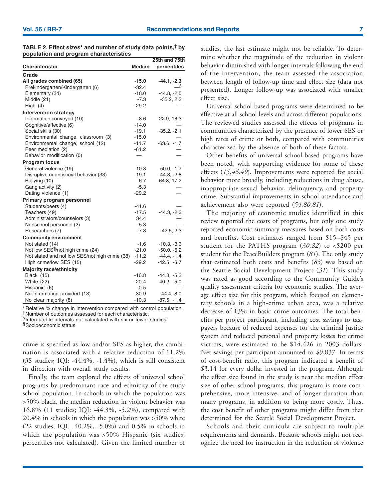| TABLE 2. Effect sizes* and number of study data points, <sup>†</sup> by |  |
|-------------------------------------------------------------------------|--|
| population and program characteristics                                  |  |

|                                                |               | 25th and 75th |
|------------------------------------------------|---------------|---------------|
| <b>Characteristic</b>                          | <b>Median</b> | percentiles   |
| Grade                                          |               |               |
| All grades combined (65)                       | $-15.0$       | $-44.1, -2.3$ |
| Prekindergarten/Kindergarten (6)               | $-32.4$       | $\mathcal{S}$ |
| Elementary (34)                                | $-18.0$       | $-44.8, -2.5$ |
| Middle (21)                                    | $-7.3$        | $-35.2, 2.3$  |
| High $(4)$                                     | $-29.2$       |               |
| <b>Intervention strategy</b>                   |               |               |
| Information conveyed (10)                      | $-8.6$        | $-22.9, 18.3$ |
| Cognitive/affective (6)                        | $-14.0$       |               |
| Social skills (30)                             | $-19.1$       | $-35.2, -2.1$ |
| Environmental change, classroom (3)            | $-15.0$       |               |
| Environmental change, school (12)              | $-11.7$       | $-63.6, -1.7$ |
| Peer mediation (2)                             | $-61.2$       |               |
| Behavior modification (0)                      |               |               |
| <b>Program focus</b>                           |               |               |
| General violence (19)                          | $-10.3$       | $-50.0, -1.7$ |
| Disruptive or antisocial behavior (33)         | $-19.1$       | $-44.3, -2.8$ |
| Bullying (10)                                  | $-6.7$        | $-64.8, 17.2$ |
| Gang activity (2)                              | $-5.3$        |               |
| Dating violence (1)                            | $-29.2$       |               |
| Primary program personnel                      |               |               |
| Students/peers (4)                             | $-41.6$       |               |
| Teachers (49)                                  | $-17.5$       | $-44.3, -2.3$ |
| Administrators/counselors (3)                  | 34.4          |               |
| Nonschool personnel (2)                        | $-5.3$        |               |
| Researchers (7)                                | $-7.3$        | $-42.5, 2.3$  |
| <b>Community environment</b>                   |               |               |
| Not stated (14)                                | $-1.6$        | $-10.3, -3.3$ |
| Not low SES <sup>1</sup> /not high crime (24)  | $-21.0$       | $-50.0, -5.2$ |
| Not stated and not low SES/not high crime (38) | $-11.2$       | $-44.4, -1.4$ |
| High crime/low SES (15)                        | $-29.2$       | $-42.5, -6.7$ |
| <b>Majority race/ethnicity</b>                 |               |               |
| Black (15)                                     | $-16.8$       | $-44.3, -5.2$ |
| <b>White (22)</b>                              | $-20.4$       | $-40.2, -5.0$ |
| Hispanic (6)                                   | $-0.5$        |               |
| No information provided (13)                   | $-30.9$       | $-44.4, 8.0$  |
| No clear majority (8)                          | $-10.3$       | $-87.5, -1.4$ |

\* Relative % change in intervention compared with control population. †Number of outcomes assessed for each characteristic.

§Interquartile intervals not calculated with six or fewer studies.

¶Socioeconomic status.

crime is specified as low and/or SES as higher, the combination is associated with a relative reduction of 11.2% (38 studies; IQI: -44.4%, -1.4%), which is still consistent in direction with overall study results.

Finally, the team explored the effects of universal school programs by predominant race and ethnicity of the study school population. In schools in which the population was >50% black, the median reduction in violent behavior was 16.8% (11 studies; IQI: -44.3%, -5.2%), compared with 20.4% in schools in which the population was >50% white (22 studies; IQI: -40.2%, -5.0%) and 0.5% in schools in which the population was >50% Hispanic (six studies; percentiles not calculated). Given the limited number of studies, the last estimate might not be reliable. To determine whether the magnitude of the reduction in violent behavior diminished with longer intervals following the end of the intervention, the team assessed the association between length of follow-up time and effect size (data not presented). Longer follow-up was associated with smaller effect size.

Universal school-based programs were determined to be effective at all school levels and across different populations. The reviewed studies assessed the effects of programs in communities characterized by the presence of lower SES or high rates of crime or both, compared with communities characterized by the absence of both of these factors.

Other benefits of universal school-based programs have been noted, with supporting evidence for some of these effects (*15,46,49*). Improvements were reported for social behavior more broadly, including reductions in drug abuse, inappropriate sexual behavior, delinquency, and property crime. Substantial improvements in school attendance and achievement also were reported (*54,80,81*).

The majority of economic studies identified in this review reported the costs of programs, but only one study reported economic summary measures based on both costs and benefits. Cost estimates ranged from \$15–\$45 per student for the PATHS program (*30,82*) to <\$200 per student for the PeaceBuilders program (*81*). The only study that estimated both costs and benefits (*83*) was based on the Seattle Social Development Project (*31*). This study was rated as good according to the Community Guide's quality assessment criteria for economic studies. The average effect size for this program, which focused on elementary schools in a high-crime urban area, was a relative decrease of 13% in basic crime outcomes. The total benefits per project participant, including cost savings to taxpayers because of reduced expenses for the criminal justice system and reduced personal and property losses for crime victims, were estimated to be \$14,426 in 2003 dollars. Net savings per participant amounted to \$9,837. In terms of cost-benefit ratio, this program indicated a benefit of \$3.14 for every dollar invested in the program. Although the effect size found in the study is near the median effect size of other school programs, this program is more comprehensive, more intensive, and of longer duration than many programs, in addition to being more costly. Thus, the cost benefit of other programs might differ from that determined for the Seattle Social Development Project.

Schools and their curricula are subject to multiple requirements and demands. Because schools might not recognize the need for instruction in the reduction of violence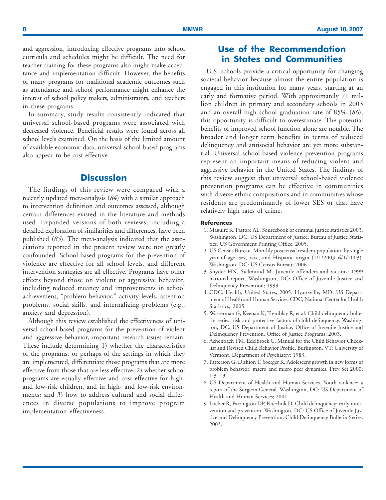<span id="page-9-0"></span>and aggression, introducing effective programs into school curricula and schedules might be difficult. The need for teacher training for these programs also might make acceptance and implementation difficult. However, the benefits of many programs for traditional academic outcomes such as attendance and school performance might enhance the interest of school policy makers, administrators, and teachers in these programs.

In summary, study results consistently indicated that universal school-based programs were associated with decreased violence. Beneficial results were found across all school levels examined. On the basis of the limited amount of available economic data, universal school-based programs also appear to be cost-effective.

### **Discussion**

The findings of this review were compared with a recently updated meta-analysis (*84*) with a similar approach to intervention definition and outcomes assessed, although certain differences existed in the literature and methods used. Expanded versions of both reviews, including a detailed exploration of similarities and differences, have been published (*85*). The meta-analysis indicated that the associations reported in the present review were not greatly confounded. School-based programs for the prevention of violence are effective for all school levels, and different intervention strategies are all effective. Programs have other effects beyond those on violent or aggressive behavior, including reduced truancy and improvements in school achievement, "problem behavior," activity levels, attention problems, social skills, and internalizing problems (e.g., anxiety and depression).

Although this review established the effectiveness of universal school-based programs for the prevention of violent and aggressive behavior, important research issues remain. These include determining 1) whether the characteristics of the programs, or perhaps of the settings in which they are implemented, differentiate those programs that are more effective from those that are less effective; 2) whether school programs are equally effective and cost effective for highand low-risk children, and in high- and low-risk environments; and 3) how to address cultural and social differences in diverse populations to improve program implementation effectiveness.

### **Use of the Recommendation in States and Communities**

U.S. schools provide a critical opportunity for changing societal behavior because almost the entire population is engaged in this institution for many years, starting at an early and formative period. With approximately 71 million children in primary and secondary schools in 2003 and an overall high school graduation rate of 85% (*86*), this opportunity is difficult to overestimate. The potential benefits of improved school function alone are notable. The broader and longer term benefits in terms of reduced delinquency and antisocial behavior are yet more substantial. Universal school-based violence prevention programs represent an important means of reducing violent and aggressive behavior in the United States. The findings of this review suggest that universal school-based violence prevention programs can be effective in communities with diverse ethnic compositions and in communities whose residents are predominantly of lower SES or that have relatively high rates of crime.

#### **References**

- 1. Maguire K, Pastore AL. Sourcebook of criminal justice statistics 2003. Washington, DC: US Department of Justice, Bureau of Justice Statistics, US Government Printing Office; 2005.
- 2. US Census Bureau. Monthly postcensal resident population, by single year of age, sex, race, and Hispanic origin (1/1/2003–6/1/2003). Washington, DC: US Census Bureau; 2006.
- 3. Snyder HN, Sickmund M. Juvenile offenders and victims: 1999 national report. Washington, DC: Office of Juvenile Justice and Delinquency Prevention; 1999.
- 4. CDC. Health, United States, 2005. Hyattsville, MD: US Department of Health and Human Services, CDC, National Center for Health Statistics; 2005.
- 5. Wasserman G, Keenan K, Tremblay R, et al. Child delinquency bulletin series: risk and protective factors of child delinquency. Washington, DC: US Department of Justice, Office of Juvenile Justice and Delinquency Prevention, Office of Justice Programs; 2003.
- 6. Achenbach TM, Edelbrock C. Manual for the Child Behavior Checklist and Revised Child Behavior Profile. Burlington, VT: University of Vermont, Department of Psychiatry; 1983.
- 7. Patterson G, Dishion T, Yoerger K. Adolescent growth in new forms of problem behavior: macro and micro peer dynamics. Prev Sci 2000; 1:3–13.
- 8. US Department of Health and Human Services. Youth violence: a report of the Surgeon General. Washington, DC: US Department of Health and Human Services; 2001.
- 9. Loeber R, Farrington DP, Petechuk D. Child delinquency: early intervention and prevention. Washington, DC: US Office of Juvenile Justice and Delinquency Prevention: Child Delinquency Bulletin Series; 2003.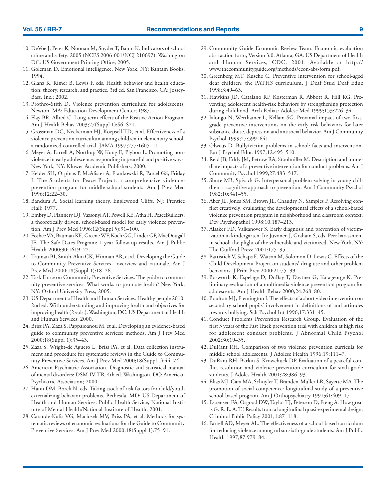- 10. DeVoe J, Peter K, Noonan M, Snyder T, Baum K. Indicators of school crime and safety: 2005 (NCES 2006-001/NCJ 210697). Washington DC: US Government Printing Office; 2005.
- 11. Goleman D. Emotional intelligence. New York, NY: Bantam Books; 1994.
- 12. Glanz K, Rimer B, Lewis F, eds. Health behavior and health education: theory, research, and practice. 3rd ed. San Francisco, CA: Jossey-Bass, Inc.; 2002.
- 13. Prothro-Stith D. Violence prevention curriculum for adolescents. Newton, MA: Education Development Center; 1987.
- 14. Flay BR, Allred C. Long-term effects of the Positive Action Program. Am J Health Behav 2003;27(Suppl 1):S6–S21.
- 15. Grossman DC, Neckerman HJ, Koepsell TD, et al. Effectiveness of a violence prevention curriculum among children in elementary school: a randomized controlled trial. JAMA 1997;277:1605–11.
- 16. Meyer A, Farrell A, Northup W, Kung E, Plybon L. Promoting nonviolence in early adolescence: responding in peaceful and positive ways. New York, NY: Kluwer Academic Publishers; 2000.
- 17. Kelder SH, Orpinas P, McAlister A, Frankowski R, Parcel GS, Friday J. The Students for Peace Project: a comprehensive violenceprevention program for middle school students. Am J Prev Med 1996;12:22–30.
- 18. Bandura A. Social learning theory. Englewood Cliffs, NJ: Prentice Hall; 1977.
- 19. Embry D, Flannery DJ, Vazsonyi AT, Powell KE, Atha H. PeaceBuilders: a theoretically driven, school-based model for early violence prevention. Am J Prev Med 1996;12(Suppl 5):91–100.
- 20. Foshee VA, Bauman KE, Greene WF, Koch GG, Linder GF, MacDougall JE. The Safe Dates Program: 1-year follow-up results. Am J Public Health 2000;90:1619–22.
- 21. Truman BI, Smith-Akin CK, Hinman AR, et al. Developing the Guide to Community Preventive Services—overview and rationale. Am J Prev Med 2000;18(Suppl 1):18–26.
- 22. Task Force on Community Preventive Services. The guide to community preventive services. What works to promote health? New York, NY: Oxford University Press; 2005.
- 23. US Department of Health and Human Services. Healthy people 2010. 2nd ed. With understanding and improving health and objectives for improving health (2 vols.). Washington, DC: US Department of Health and Human Services; 2000.
- 24. Briss PA, Zaza S, Pappaioanou M, et al. Developing an evidence-based guide to community preventive services: methods. Am J Prev Med 2000;18(Suppl 1):35–43.
- 25. Zaza S, Wright-de Aguero L, Briss PA, et al. Data collection instrument and procedure for systematic reviews in the Guide to Community Preventive Services. Am J Prev Med 2000;18(Suppl 1):44–74.
- 26. American Psychiatric Association. Diagnostic and statistical manual of mental disorders: DSM-IV-TR. 4th ed. Washington, DC: American Psychiatric Association; 2000.
- 27. Hann DM, Borek N, eds. Taking stock of risk factors for child/youth externalizing behavior problems. Bethesda, MD: US Department of Health and Human Services, Public Health Service, National Institute of Mental Health/National Institute of Health; 2001.
- 28. Carande-Kulis VG, Maciosek MV, Briss PA, et al. Methods for systematic reviews of economic evaluations for the Guide to Community Preventive Services. Am J Prev Med 2000;18(Suppl 1):75–91.
- 29. Community Guide Economic Review Team. Economic evaluation abstraction form, Version 3.0. Atlanta, GA: US Department of Health and Human Services, CDC; 2001. Available at [http://](http://www.thecommunityguide.org/methods/econ-abs-form.pdf) [www.thecommunityguide.org/methods/econ-abs-form.pdf.](http://www.thecommunityguide.org/methods/econ-abs-form.pdf)
- 30. Greenberg MT, Kusche C. Preventive intervention for school-aged deaf children: the PATHS curriculum. J Deaf Stud Deaf Educ 1998;3:49–63.
- 31. Hawkins JD, Catalano RF, Kosterman R, Abbott R, Hill KG. Preventing adolescent health-risk behaviors by strengthening protection during childhood. Arch Pediatr Adolesc Med 1999;153:226–34.
- 32. Ialongo N, Werthamer L, Kellam SG. Proximal impact of two firstgrade preventive interventions on the early risk behaviors for later substance abuse, depression and antisocial behavior. Am J Community Psychol 1999;27:599–641.
- 33. Olweus D. Bully/victim problems in school: facts and intervention. Eur J Psychol Educ 1997;12:495–510.
- 34. Reid JB, Eddy JM, Fetrow RA, Stoolmiller M. Description and immediate impacts of a preventive intervention for conduct problems. Am J Community Psychol 1999;27:483–517.
- 35. Shure MB, Spivack G. Interpersonal problem-solving in young children: a cognitive approach to prevention. Am J Community Psychol 1982;10:341–55.
- 36. Aber JL, Jones SM, Brown JL, Chaudry N, Samples F. Resolving conflict creatively: evaluating the developmental effects of a school-based violence prevention program in neighborhood and classroom context. Dev Psychopathol 1998;10:187–213.
- 37. Alsaker FD, Valkanover S. Early diagnosis and prevention of victimization in kindergarten. In: Juvonen J, Graham S, eds. Peer harassment in school: the plight of the vulnerable and victimized. New York, NY: The Guilford Press; 2001:175–95.
- 38. Battistich V, Schaps E, Watson M, Solomon D, Lewis C. Effects of the Child Development Project on students' drug use and other problem behaviors. J Prim Prev 2000;21:75–99.
- 39. Bosworth K, Espelage D, DuBay T, Daytner G, Karageorge K. Preliminary evaluation of a multimedia violence prevention program for adolescents. Am J Health Behav 2000;24:268–80.
- 40. Boulton MJ, Flemington I. The effects of a short video intervention on secondary school pupils' involvement in definitions of and attitudes towards bullying. Sch Psychol Int 1996;17:331–45.
- 41. Conduct Problems Prevention Research Group. Evaluation of the first 3 years of the Fast Track prevention trial with children at high risk for adolescent conduct problems. J Abnormal Child Psychol 2002;30:19–35.
- 42. DuRant RH. Comparison of two violence prevention curricula for middle school adolescents. J Adolesc Health 1996;19:111–7.
- 43. DuRant RH, Barkin S, Krowchuck DP. Evaluation of a peaceful conflict resolution and violence prevention curriculum for sixth-grade students. J Adoles Health 2001;28:386–93.
- 44. Elias MJ, Gara MA, Schuyler T, Branden-Muller LR, Sayette MA. The promotion of social competence: longitudinal study of a preventive school-based program. Am J Orthopsychiatry 1991;61:409–17.
- 45. Esbensen FA, Osgood DW, Taylor TJ, Peterson D, Freng A. How great is G. R. E. A. T.? Results from a longitudinal quasi-experimental design. Criminol Public Policy 2001;1:87–118.
- 46. Farrell AD, Meyer AL. The effectiveness of a school-based curriculum for reducing violence among urban sixth-grade students. Am J Public Health 1997;87:979–84.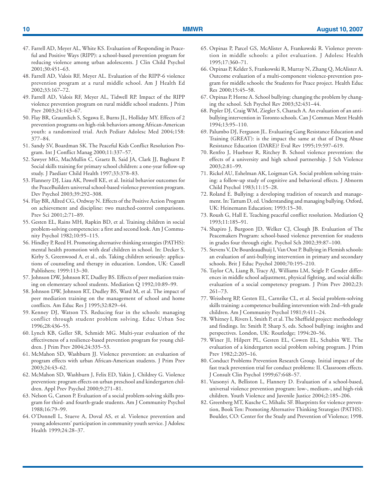- 47. Farrell AD, Meyer AL, White KS. Evaluation of Responding in Peaceful and Positive Ways (RIPP): a school-based prevention program for reducing violence among urban adolescents. J Clin Child Psychol 2001;30:451–63.
- 48. Farrell AD, Valois RF, Meyer AL. Evaluation of the RIPP-6 violence prevention program at a rural middle school. Am J Health Ed 2002;33:167–72.
- 49. Farrell AD, Valois RF, Meyer AL, Tidwell RP. Impact of the RIPP violence prevention program on rural middle school students. J Prim Prev 2003;24:143–67.
- 50. Flay BR, Graumlich S, Segawa E, Burns JL, Holliday MY. Effects of 2 prevention programs on high-risk behaviors among African-American youth: a randomized trial. Arch Pediatr Adolesc Med 2004;158: 377–84.
- 51. Sandy SV, Boardman SK. The Peaceful Kids Conflict Resolution Program. Int J Conflict Manag 2000;11:337–57.
- 52. Sawyer MG, MacMullin C, Graetz B, Said JA, Clark JJ, Baghurst P. Social skills training for primary school children: a one-year follow-up study. J Paediatr Child Health 1997;33:378–83.
- 53. Flannery DJ, Liau AK, Powell KE, et al. Initial behavior outcomes for the PeaceBuilders universal school-based violence prevention program. Dev Psychol 2003;39:292–308.
- 54. Flay BR, Allred CG, Ordway N. Effects of the Positive Action Program on achievement and discipline: two matched-control comparisons. Prev Sci 2001;2:71–89.
- 55. Gesten EL, Rains MH, Rapkin BD, et al. Training children in social problem-solving competencies: a first and second look. Am J Community Psychol 1982;10:95–115.
- 56. Hindley P, Reed H. Promoting alternative thinking strategies (PATHS): mental health promotion with deaf children in school. In: Decker S, Kirby S, Greenwood A, et al., eds. Taking children seriously: applications of counseling and therapy in education. London, UK: Cassell Publishers; 1999:113–30.
- 57. Johnson DW, Johnson RT, Dudley BS. Effects of peer mediation training on elementary school students. Mediation Q 1992;10:89–99.
- 58. Johnson DW, Johnson RT, Dudley BS, Ward M, et al. The impact of peer mediation training on the management of school and home conflicts. Am Educ Res J 1995;32:829–44.
- 59. Kenney DJ, Watson TS. Reducing fear in the schools: managing conflict through student problem solving. Educ Urban Soc 1996;28:436–55.
- 60. Lynch KB, Geller SR, Schmidt MG. Multi-year evaluation of the effectiveness of a resilience-based prevention program for young children. J Prim Prev 2004;24:335–53.
- 61. McMahon SD, Washburn JJ. Violence prevention: an evaluation of program effects with urban African-American students. J Prim Prev 2003;24:43–62.
- 62. McMahon SD, Washburn J, Felix ED, Yakin J, Childrey G. Violence prevention: program effects on urban preschool and kindergarten children. Appl Prev Psychol 2000;9:271–81.
- 63. Nelson G, Carson P. Evaluation of a social problem-solving skills program for third- and fourth-grade students. Am J Community Psychol 1988;16:79–99.
- 64. O'Donnell L, Stueve A, Doval AS, et al. Violence prevention and young adolescents' participation in community youth service. J Adolesc Health 1999;24:28–37.
- 65. Orpinas P, Parcel GS, McAlister A, Frankowski R. Violence prevention in middle schools: a pilot evaluation. J Adolesc Health 1995;17:360–71.
- 66. Orpinas P, Kelder S, Frankowski R, Murray N, Zhang Q, McAlister A. Outcome evaluation of a multi-component violence-prevention program for middle schools: the Students for Peace project. Health Educ Res 2000;15:45–58.
- 67. Orpinas P, Horne A. School bullying: changing the problem by changing the school. Sch Psychol Rev 2003;32:431–44.
- 68. Pepler DJ, Craig WM, Ziegler S, Charach A. An evaluation of an antibullying intervention in Toronto schools. Can J Commun Ment Health 1994;13:95–110.
- 69. Palumbo DJ, Ferguson JL. Evaluating Gang Resistance Education and Training (GREAT): is the impact the same at that of Drug Abuse Resistance Education (DARE)? Eval Rev 1995;19:597–619.
- 70. Renfro J, Huebner R, Ritchey B. School violence prevention: the effects of a university and high school partnership. J Sch Violence 2003;2:81–99.
- 71. Rickel AU, Eshelman AK, Loigman GA. Social problem solving training: a follow-up study of cognitive and behavioral effects. J Abnorm Child Psychol 1983;11:15–28.
- 72. Roland E. Bullying: a developing tradition of research and management. In: Tattum D, ed. Understanding and managing bullying. Oxford, UK: Heinemann Education; 1993:15–30.
- 73. Roush G, Hall E. Teaching peaceful conflict resolution. Mediation Q 1993;11:185–91.
- 74. Shapiro J, Burgoon JD, Welker CJ, Clough JB. Evaluation of The Peacemakers Program: school-based violence prevention for students in grades four through eight. Psychol Sch 2002;39:87–100.
- 75. Stevens V, De Bourdeaudhuij I, Van Oost P. Bullying in Flemish schools: an evaluation of anti-bullying intervention in primary and secondary schools. Brit J Educ Psychol 2000;70:195–210.
- 76. Taylor CA, Liang B, Tracy AJ, Williams LM, Seigle P. Gender differences in middle school adjustment, physical fighting, and social skills: evaluation of a social competency program. J Prim Prev 2002;23: 261–73.
- 77. Weissberg RP, Gesten EL, Carnrike CL, et al. Social problem-solving skills training: a competence building intervention with 2nd–4th grade children. Am J Community Psychol 1981;9:411–24.
- 78. Whitney I, Rivers I, Smith P, et al. The Sheffield project: methodology and findings. In: Smith P, Sharp S, eds. School bullying: insights and perspectives. London, UK: Routledge; 1994:20–56.
- 79. Winer JI, Hilpert PL, Gesten EL, Cowen EL, Schubin WE. The evaluation of a kindergarten social problem solving program. J Prim Prev 1982;2:205–16.
- 80. Conduct Problems Prevention Research Group. Initial impact of the fast track prevention trial for conduct problems: II. Classroom effects. J Consult Clin Psychol 1999;67:648–57.
- 81. Vazsonyi A, Belliston L, Flannery D. Evaluation of a school-based, universal violence prevention program: low-, medium-, and high-risk children. Youth Violence and Juvenile Justice 2004;2:185–206.
- 82. Greenberg MT, Kusche C, Mihalic SF. Blueprints for violence prevention, Book Ten: Promoting Alternative Thinking Strategies (PATHS). Boulder, CO: Center for the Study and Prevention of Violence; 1998.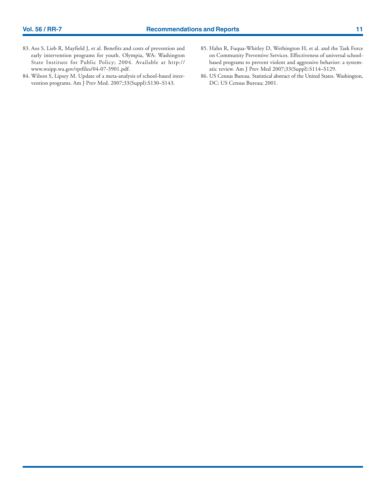- 83. Aos S, Lieb R, Mayfield J, et al. Benefits and costs of prevention and early intervention programs for youth. Olympia, WA: Washington State Institute for Public Policy; 2004. Available at [http://](http://www.wsipp.wa.gov/rptfiles/04-07-3901.pdf) [www.wsipp.wa.gov/rptfiles/04-07-3901.pdf.](http://www.wsipp.wa.gov/rptfiles/04-07-3901.pdf)
- 84. Wilson S, Lipsey M. Update of a meta-analysis of school-based intervention programs. Am J Prev Med. 2007;33(Suppl):S130–S143.
- 85. Hahn R, Fuqua-Whitley D, Wethington H, et al. and the Task Force on Community Preventive Services. Effectiveness of universal schoolbased programs to prevent violent and aggressive behavior: a systematic review. Am J Prev Med 2007;33(Suppl):S114–S129.
- 86. US Census Bureau. Statistical abstract of the United States. Washington, DC: US Census Bureau; 2001.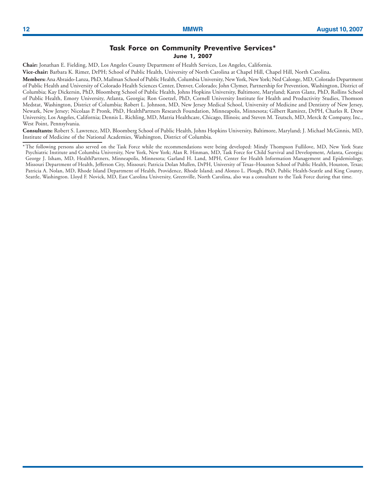### **Task Force on Community Preventive Services\***

### **June 1, 2007**

**Chair:** Jonathan E. Fielding, MD, Los Angeles County Department of Health Services, Los Angeles, California.

**Vice-chair:** Barbara K. Rimer, DrPH; School of Public Health, University of North Carolina at Chapel Hill, Chapel Hill, North Carolina.

**Members:** Ana Abraido-Lanza, PhD, Mailman School of Public Health, Columbia University, New York, New York; Ned Calonge, MD, Colorado Department of Public Health and University of Colorado Health Sciences Center, Denver, Colorado; John Clymer, Partnership for Prevention, Washington, District of Columbia; Kay Dickersin, PhD, Bloomberg School of Public Health, Johns Hopkins University, Baltimore, Maryland; Karen Glanz, PhD, Rollins School of Public Health, Emory University, Atlanta, Georgia; Ron Goetzel, PhD, Cornell University Institute for Health and Productivity Studies, Thomson Medstat, Washington, District of Columbia; Robert L. Johnson, MD, New Jersey Medical School, University of Medicine and Dentistry of New Jersey, Newark, New Jersey; Nicolaas P. Pronk, PhD, HealthPartners Research Foundation, Minneapolis, Minnesota; Gilbert Ramirez, DrPH, Charles R. Drew University, Los Angeles, California; Dennis L. Richling, MD, Matria Healthcare, Chicago, Illinois; and Steven M. Teutsch, MD, Merck & Company, Inc., West Point, Pennsylvania.

**Consultants:** Robert S. Lawrence, MD, Bloomberg School of Public Health, Johns Hopkins University, Baltimore, Maryland; J. Michael McGinnis, MD, Institute of Medicine of the National Academies, Washington, District of Columbia.

<sup>\*</sup> The following persons also served on the Task Force while the recommendations were being developed: Mindy Thompson Fullilove, MD, New York State Psychiatric Institute and Columbia University, New York, New York; Alan R. Hinman, MD, Task Force for Child Survival and Development, Atlanta, Georgia; George J. Isham, MD, HealthPartners, Minneapolis, Minnesota; Garland H. Land, MPH, Center for Health Information Management and Epidemiology, Missouri Department of Health, Jefferson City, Missouri; Patricia Dolan Mullen, DrPH, University of Texas–Houston School of Public Health, Houston, Texas; Patricia A. Nolan, MD, Rhode Island Department of Health, Providence, Rhode Island; and Alonzo L. Plough, PhD, Public Health-Seattle and King County, Seattle, Washington. Lloyd F. Novick, MD, East Carolina University, Greenville, North Carolina, also was a consultant to the Task Force during that time.